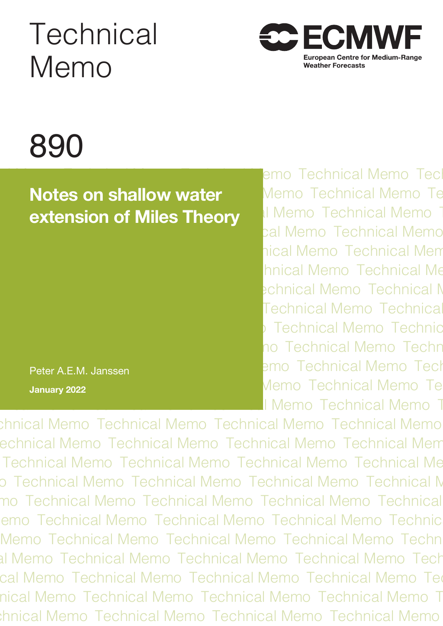# **Technical** Memo



# 890

# **nical Motes on shallow water Memo Technical Memo Technical Memo Technical Memo Technical Memo Technical Memo Te hextension of Miles Theory Memo Technical Memo Technical Memo**

Peter A.E.M. Janssen **January 2022**

lemo Technical Memo Tec tal Memo Technical Memo hical Memo Technical Mem **hnical Memo Technical Me** echnical Memo Technical Memo **Technical Memo Technical Technical Memo Technical Memo** no Technical Memo Techr emo Technical Memo Tech Memo Technical Memo Te I Memo Technical Memo T

chnical Memo Technical Memo Technical Memo Technical Memo echnical Memo Technical Memo Technical Memo Technical Mem Technical Memo Technical Memo Technical Memo Technical Memo Technical Memo Technical Memo Technical Memo Technical Technical Memo Technical Memo Technical Memo Technical Memo Technical Memo Technical Memo Technical Memo Technical Technical Memo Technical Memo Technical Memo Technical Memo Technical Memo Technical Memo Technical Memo Technical Technical Memo Technical Memo Technical Memo Technical Memo Technical Memo Technical Memo Technical Memo Technical Memo Technical Memo Technical Memo Technical Memo Techn al Memo Technical Memo Technical Memo Technical Memo Tech Technical Memo Technical Memo Technical Memo Technical Memo Technical Memo Technical Memo Technical Memo Technical nical Memo Technical Memo Technical Memo Technical Memo T thnical Memo Technical Memo Technical Memo Technical Memo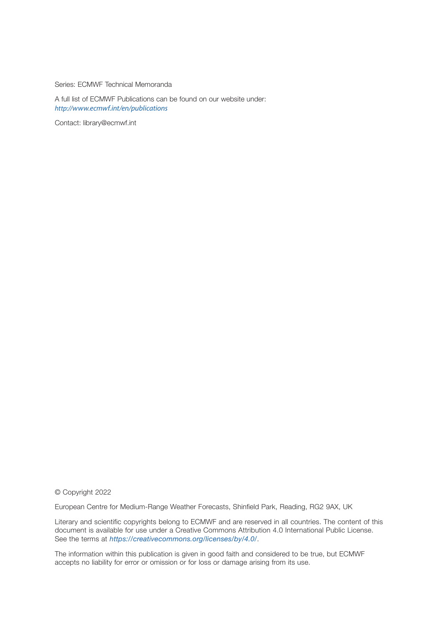Series: ECMWF Technical Memoranda

A full list of ECMWF Publications can be found on our website under: *[http://w](http://www.ecmwf.int/en/publications)ww.ecmwf.int/en/publications*

Contact: [library@ecmwf.int](mailto:library%40ecmwf.int?subject=)

© Copyright 2022

European Centre for Medium-Range Weather Forecasts, Shinfield Park, Reading, RG2 9AX, UK

Literary and scientific copyrights belong to ECMWF and are reserved in all countries. The content of this document is available for use under a Creative Commons Attribution 4.0 International Public License. See the terms at *<https://creativecommons.org/licenses/by/4.0/>*.

The information within this publication is given in good faith and considered to be true, but ECMWF accepts no liability for error or omission or for loss or damage arising from its use.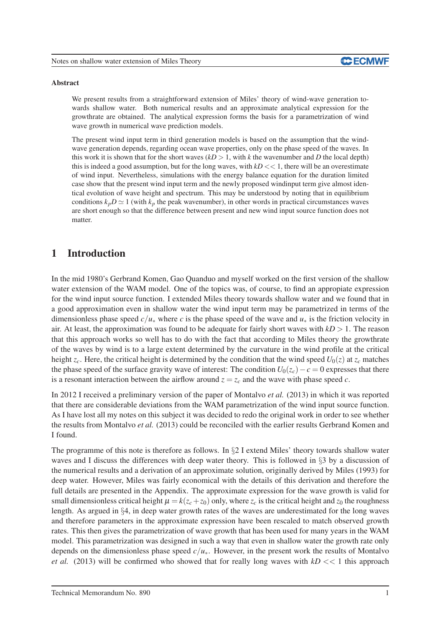

#### Abstract

We present results from a straightforward extension of Miles' theory of wind-wave generation towards shallow water. Both numerical results and an approximate analytical expression for the growthrate are obtained. The analytical expression forms the basis for a parametrization of wind wave growth in numerical wave prediction models.

The present wind input term in third generation models is based on the assumption that the windwave generation depends, regarding ocean wave properties, only on the phase speed of the waves. In this work it is shown that for the short waves  $(kD > 1$ , with *k* the wavenumber and *D* the local depth) this is indeed a good assumption, but for the long waves, with  $kD \ll 1$ , there will be an overestimate of wind input. Nevertheless, simulations with the energy balance equation for the duration limited case show that the present wind input term and the newly proposed windinput term give almost identical evolution of wave height and spectrum. This may be understood by noting that in equilibrium conditions  $k_p D \simeq 1$  (with  $k_p$  the peak wavenumber), in other words in practical circumstances waves are short enough so that the difference between present and new wind input source function does not matter.

# 1 Introduction

In the mid 1980's Gerbrand Komen, Gao Quanduo and myself worked on the first version of the shallow water extension of the WAM model. One of the topics was, of course, to find an appropiate expression for the wind input source function. I extended Miles theory towards shallow water and we found that in a good approximation even in shallow water the wind input term may be parametrized in terms of the dimensionless phase speed  $c/u_*$  where *c* is the phase speed of the wave and  $u_*$  is the friction velocity in air. At least, the approximation was found to be adequate for fairly short waves with  $kD > 1$ . The reason that this approach works so well has to do with the fact that according to Miles theory the growthrate of the waves by wind is to a large extent determined by the curvature in the wind profile at the critical height  $z_c$ . Here, the critical height is determined by the condition that the wind speed  $U_0(z)$  at  $z_c$  matches the phase speed of the surface gravity wave of interest: The condition  $U_0(z_c) - c = 0$  expresses that there is a resonant interaction between the airflow around  $z = z_c$  and the wave with phase speed *c*.

In 2012 I received a preliminary version of the paper of Montalvo *et al.* (2013) in which it was reported that there are considerable deviations from the WAM parametrization of the wind input source function. As I have lost all my notes on this subject it was decided to redo the original work in order to see whether the results from Montalvo *et al.* (2013) could be reconciled with the earlier results Gerbrand Komen and I found.

The programme of this note is therefore as follows. In §2 I extend Miles' theory towards shallow water waves and I discuss the differences with deep water theory. This is followed in §3 by a discussion of the numerical results and a derivation of an approximate solution, originally derived by Miles (1993) for deep water. However, Miles was fairly economical with the details of this derivation and therefore the full details are presented in the Appendix. The approximate expression for the wave growth is valid for small dimensionless critical height  $\mu = k(z_c + z_0)$  only, where  $z_c$  is the critical height and  $z_0$  the roughness length. As argued in §4, in deep water growth rates of the waves are underestimated for the long waves and therefore parameters in the approximate expression have been rescaled to match observed growth rates. This then gives the parametrization of wave growth that has been used for many years in the WAM model. This parametrization was designed in such a way that even in shallow water the growth rate only depends on the dimensionless phase speed *c*/*u*∗. However, in the present work the results of Montalvo *et al.* (2013) will be confirmed who showed that for really long waves with  $kD \ll 1$  this approach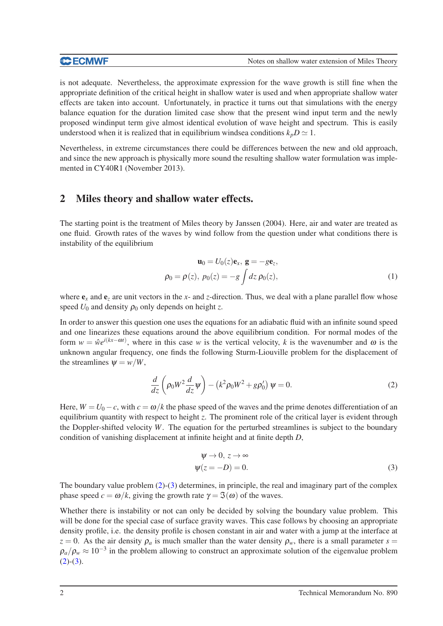is not adequate. Nevertheless, the approximate expression for the wave growth is still fine when the appropriate definition of the critical height in shallow water is used and when appropriate shallow water effects are taken into account. Unfortunately, in practice it turns out that simulations with the energy balance equation for the duration limited case show that the present wind input term and the newly proposed windinput term give almost identical evolution of wave height and spectrum. This is easily understood when it is realized that in equilibrium windsea conditions  $k_p D \simeq 1$ .

Nevertheless, in extreme circumstances there could be differences between the new and old approach, and since the new approach is physically more sound the resulting shallow water formulation was implemented in CY40R1 (November 2013).

# 2 Miles theory and shallow water effects.

The starting point is the treatment of Miles theory by Janssen (2004). Here, air and water are treated as one fluid. Growth rates of the waves by wind follow from the question under what conditions there is instability of the equilibrium

$$
\mathbf{u}_0 = U_0(z)\mathbf{e}_x, \ \mathbf{g} = -g\mathbf{e}_z,
$$
  

$$
\rho_0 = \rho(z), \ p_0(z) = -g \int dz \ \rho_0(z), \tag{1}
$$

where  $e_x$  and  $e_z$  are unit vectors in the *x*- and *z*-direction. Thus, we deal with a plane parallel flow whose speed  $U_0$  and density  $\rho_0$  only depends on height *z*.

In order to answer this question one uses the equations for an adiabatic fluid with an infinite sound speed and one linearizes these equations around the above equilibrium condition. For normal modes of the form  $w = \hat{w}e^{i(kx - \omega t)}$ , where in this case *w* is the vertical velocity, *k* is the wavenumber and  $\omega$  is the unknown angular frequency, one finds the following Sturm-Liouville problem for the displacement of the streamlines  $\Psi = w/W$ ,

<span id="page-3-0"></span>
$$
\frac{d}{dz}\left(\rho_0 W^2 \frac{d}{dz}\psi\right) - \left(k^2 \rho_0 W^2 + g\rho'_0\right)\psi = 0.
$$
\n(2)

Here,  $W = U_0 - c$ , with  $c = \omega/k$  the phase speed of the waves and the prime denotes differentiation of an equilibrium quantity with respect to height *z*. The prominent role of the critical layer is evident through the Doppler-shifted velocity *W*. The equation for the perturbed streamlines is subject to the boundary condition of vanishing displacement at infinite height and at finite depth *D*,

<span id="page-3-1"></span>
$$
\psi \to 0, z \to \infty
$$
  

$$
\psi(z = -D) = 0.
$$
 (3)

The boundary value problem [\(2\)](#page-3-0)-[\(3\)](#page-3-1) determines, in principle, the real and imaginary part of the complex phase speed  $c = \omega/k$ , giving the growth rate  $\gamma = \mathfrak{I}(\omega)$  of the waves.

Whether there is instability or not can only be decided by solving the boundary value problem. This will be done for the special case of surface gravity waves. This case follows by choosing an appropriate density profile, i.e. the density profile is chosen constant in air and water with a jump at the interface at  $z = 0$ . As the air density  $\rho_a$  is much smaller than the water density  $\rho_w$ , there is a small parameter  $s =$  $\rho_a/\rho_w \approx 10^{-3}$  in the problem allowing to construct an approximate solution of the eigenvalue problem  $(2)-(3).$  $(2)-(3).$  $(2)-(3).$  $(2)-(3).$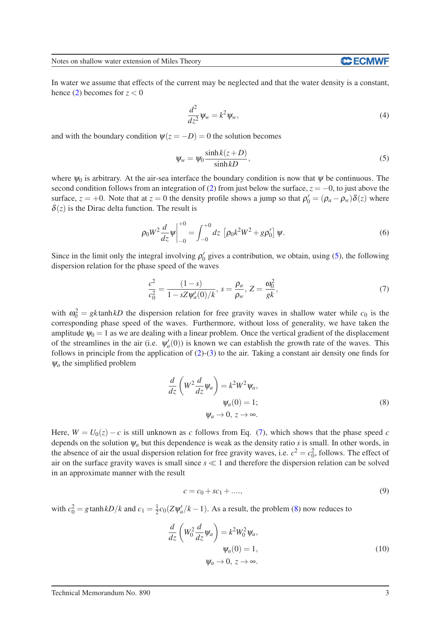Notes on shallow water extension of Miles Theory

In water we assume that effects of the current may be neglected and that the water density is a constant, hence [\(2\)](#page-3-0) becomes for  $z < 0$ 

$$
\frac{d^2}{dz^2}\psi_w = k^2\psi_w,\tag{4}
$$

and with the boundary condition  $\psi(z = -D) = 0$  the solution becomes

<span id="page-4-0"></span>
$$
\psi_w = \psi_0 \frac{\sinh k(z+D)}{\sinh kD},\tag{5}
$$

where  $\psi_0$  is arbitrary. At the air-sea interface the boundary condition is now that  $\psi$  be continuous. The second condition follows from an integration of [\(2\)](#page-3-0) from just below the surface,  $z = -0$ , to just above the surface,  $z = +0$ . Note that at  $z = 0$  the density profile shows a jump so that  $\rho'_0 = (\rho_a - \rho_w)\delta(z)$  where  $\delta(z)$  is the Dirac delta function. The result is

$$
\rho_0 W^2 \frac{d}{dz} \psi \Big|_{-0}^{+0} = \int_{-0}^{+0} dz \, \left[ \rho_0 k^2 W^2 + g \rho'_0 \right] \psi. \tag{6}
$$

Since in the limit only the integral involving  $\rho'_0$  gives a contribution, we obtain, using [\(5\)](#page-4-0), the following dispersion relation for the phase speed of the waves

<span id="page-4-1"></span>
$$
\frac{c^2}{c_0^2} = \frac{(1-s)}{1 - sZ\psi_a'(0)/k}, \ s = \frac{\rho_a}{\rho_w}, \ Z = \frac{\omega_0^2}{gk}, \tag{7}
$$

with  $\omega_0^2 = gk \tanh kD$  the dispersion relation for free gravity waves in shallow water while  $c_0$  is the corresponding phase speed of the waves. Furthermore, without loss of generality, we have taken the amplitude  $\psi_0 = 1$  as we are dealing with a linear problem. Once the vertical gradient of the displacement of the streamlines in the air (i.e.  $\psi_a'(0)$ ) is known we can establish the growth rate of the waves. This follows in principle from the application of  $(2)-(3)$  $(2)-(3)$  to the air. Taking a constant air density one finds for  $\psi_a$  the simplified problem

<span id="page-4-2"></span>
$$
\frac{d}{dz} \left( W^2 \frac{d}{dz} \psi_a \right) = k^2 W^2 \psi_a,
$$
  

$$
\psi_a(0) = 1;
$$
  

$$
\psi_a \to 0, z \to \infty.
$$
 (8)

Here,  $W = U_0(z) - c$  is still unknown as *c* follows from Eq. [\(7\)](#page-4-1), which shows that the phase speed *c* depends on the solution <sup>ψ</sup>*<sup>a</sup>* but this dependence is weak as the density ratio *s* is small. In other words, in the absence of air the usual dispersion relation for free gravity waves, i.e.  $c^2 = c_0^2$ , follows. The effect of air on the surface gravity waves is small since *s* ≪ 1 and therefore the dispersion relation can be solved in an approximate manner with the result

$$
c = c_0 + sc_1 + \dots,\tag{9}
$$

with  $c_0^2 = g \tanh kD/k$  and  $c_1 = \frac{1}{2}$  $\frac{1}{2}c_0(Z\psi_a'/k-1)$ . As a result, the problem [\(8\)](#page-4-2) now reduces to

<span id="page-4-3"></span>
$$
\frac{d}{dz} \left( W_0^2 \frac{d}{dz} \psi_a \right) = k^2 W_0^2 \psi_a,
$$
  

$$
\psi_a(0) = 1,
$$
  

$$
\psi_a \to 0, z \to \infty.
$$
 (10)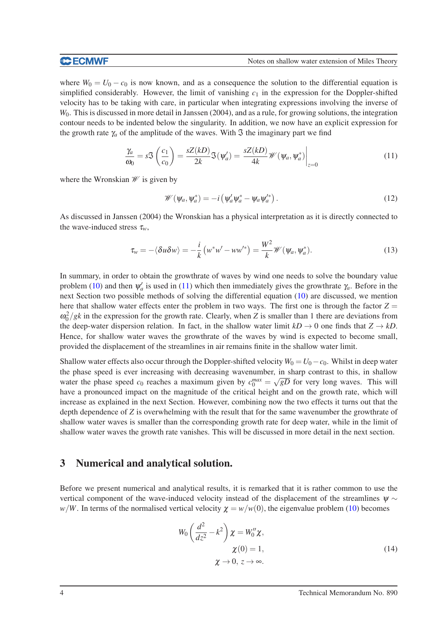where  $W_0 = U_0 - c_0$  is now known, and as a consequence the solution to the differential equation is simplified considerably. However, the limit of vanishing  $c_1$  in the expression for the Doppler-shifted velocity has to be taking with care, in particular when integrating expressions involving the inverse of *W*0. This is discussed in more detail in Janssen (2004), and as a rule, for growing solutions, the integration contour needs to be indented below the singularity. In addition, we now have an explicit expression for the growth rate  $\gamma_a$  of the amplitude of the waves. With  $\Im$  the imaginary part we find

<span id="page-5-0"></span>
$$
\frac{\gamma_a}{\omega_0} = s \mathfrak{S}\left(\frac{c_1}{c_0}\right) = \frac{sZ(kD)}{2k} \mathfrak{S}(\psi_a') = \frac{sZ(kD)}{4k} \mathscr{W}(\psi_a, \psi_a^*)\Big|_{z=0}
$$
\n(11)

where the Wronskian  $\mathscr W$  is given by

$$
\mathscr{W}(\psi_a, \psi_a^*) = -i \left( \psi_a' \psi_a^* - \psi_a \psi_a'^* \right). \tag{12}
$$

As discussed in Janssen (2004) the Wronskian has a physical interpretation as it is directly connected to the wave-induced stress  $\tau_w$ ,

$$
\tau_w = -\langle \delta u \delta w \rangle = -\frac{i}{k} \left( w^* w' - w w'^* \right) = \frac{W^2}{k} \mathcal{W}(\psi_a, \psi_a^*).
$$
 (13)

In summary, in order to obtain the growthrate of waves by wind one needs to solve the boundary value problem [\(10\)](#page-4-3) and then  $\psi'_a$  is used in [\(11\)](#page-5-0) which then immediately gives the growthrate  $\gamma_a$ . Before in the next Section two possible methods of solving the differential equation [\(10\)](#page-4-3) are discussed, we mention here that shallow water effects enter the problem in two ways. The first one is through the factor  $Z =$  $\omega_0^2/gk$  in the expression for the growth rate. Clearly, when *Z* is smaller than 1 there are deviations from the deep-water dispersion relation. In fact, in the shallow water limit  $kD \rightarrow 0$  one finds that  $Z \rightarrow kD$ . Hence, for shallow water waves the growthrate of the waves by wind is expected to become small, provided the displacement of the streamlines in air remains finite in the shallow water limit.

Shallow water effects also occur through the Doppler-shifted velocity  $W_0 = U_0 - c_0$ . Whilst in deep water the phase speed is ever increasing with decreasing wavenumber, in sharp contrast to this, in shallow water the phase speed  $c_0$  reaches a maximum given by  $c_0^{max} = \sqrt{gD}$  for very long waves. This will have a pronounced impact on the magnitude of the critical height and on the growth rate, which will increase as explained in the next Section. However, combining now the two effects it turns out that the depth dependence of *Z* is overwhelming with the result that for the same wavenumber the growthrate of shallow water waves is smaller than the corresponding growth rate for deep water, while in the limit of shallow water waves the growth rate vanishes. This will be discussed in more detail in the next section.

### 3 Numerical and analytical solution.

Before we present numerical and analytical results, it is remarked that it is rather common to use the vertical component of the wave-induced velocity instead of the displacement of the streamlines  $\psi \sim$ *w*/*W*. In terms of the normalised vertical velocity  $\chi = w/w(0)$ , the eigenvalue problem [\(10\)](#page-4-3) becomes

<span id="page-5-1"></span>
$$
W_0 \left(\frac{d^2}{dz^2} - k^2\right) \chi = W_0'' \chi,
$$
  
\n
$$
\chi(0) = 1,
$$
  
\n
$$
\chi \to 0, z \to \infty.
$$
\n(14)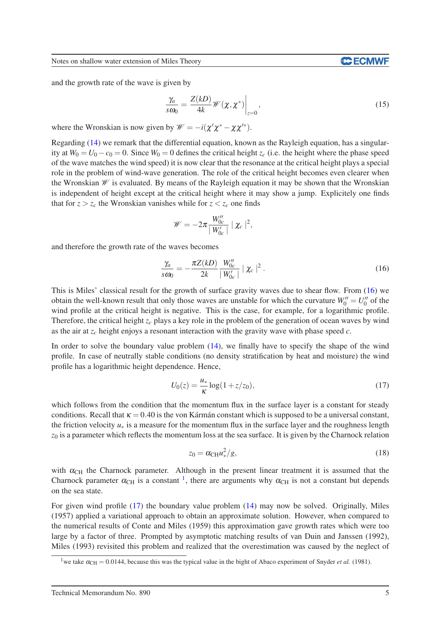Notes on shallow water extension of Miles Theory

and the growth rate of the wave is given by

<span id="page-6-4"></span>
$$
\frac{\gamma_a}{s\omega_0} = \frac{Z(kD)}{4k} \mathscr{W}(\chi, \chi^*) \bigg|_{z=0},\tag{15}
$$

where the Wronskian is now given by  $\mathcal{W} = -i(\chi' \chi^* - \chi \chi'^*)$ .

Regarding [\(14\)](#page-5-1) we remark that the differential equation, known as the Rayleigh equation, has a singularity at  $W_0 = U_0 - c_0 = 0$ . Since  $W_0 = 0$  defines the critical height  $z_c$  (i.e. the height where the phase speed of the wave matches the wind speed) it is now clear that the resonance at the critical height plays a special role in the problem of wind-wave generation. The role of the critical height becomes even clearer when the Wronskian  $W$  is evaluated. By means of the Rayleigh equation it may be shown that the Wronskian is independent of height except at the critical height where it may show a jump. Explicitely one finds that for  $z > z_c$  the Wronskian vanishes while for  $z < z_c$  one finds

$$
\mathscr{W} = -2\pi \frac{W''_{0c}}{|W'_{0c}|} | \chi_c |^2,
$$

and therefore the growth rate of the waves becomes

<span id="page-6-0"></span>
$$
\frac{\gamma_a}{s\omega_0} = -\frac{\pi Z(kD)}{2k} \frac{W''_{0c}}{|W'_{0c}|} | \chi_c |^2.
$$
 (16)

This is Miles' classical result for the growth of surface gravity waves due to shear flow. From [\(16\)](#page-6-0) we obtain the well-known result that only those waves are unstable for which the curvature  $W_0'' = U_0''$  of the wind profile at the critical height is negative. This is the case, for example, for a logarithmic profile. Therefore, the critical height  $z_c$  plays a key role in the problem of the generation of ocean waves by wind as the air at *z<sup>c</sup>* height enjoys a resonant interaction with the gravity wave with phase speed *c*.

In order to solve the boundary value problem [\(14\)](#page-5-1), we finally have to specify the shape of the wind profile. In case of neutrally stable conditions (no density stratification by heat and moisture) the wind profile has a logarithmic height dependence. Hence,

<span id="page-6-2"></span>
$$
U_0(z) = \frac{u_*}{\kappa} \log(1 + z/z_0),\tag{17}
$$

which follows from the condition that the momentum flux in the surface layer is a constant for steady conditions. Recall that  $\kappa = 0.40$  is the von Kármán constant which is supposed to be a universal constant, the friction velocity  $u_*$  is a measure for the momentum flux in the surface layer and the roughness length  $z_0$  is a parameter which reflects the momentum loss at the sea surface. It is given by the Charnock relation

<span id="page-6-3"></span>
$$
z_0 = \alpha_{\rm CH} u_*^2 / g,\tag{18}
$$

with  $\alpha_{\text{CH}}$  the Charnock parameter. Although in the present linear treatment it is assumed that the Charnock parameter  $\alpha_{\text{CH}}$  is a constant <sup>[1](#page-6-1)</sup>, there are arguments why  $\alpha_{\text{CH}}$  is not a constant but depends on the sea state.

For given wind profile [\(17\)](#page-6-2) the boundary value problem [\(14\)](#page-5-1) may now be solved. Originally, Miles (1957) applied a variational approach to obtain an approximate solution. However, when compared to the numerical results of Conte and Miles (1959) this approximation gave growth rates which were too large by a factor of three. Prompted by asymptotic matching results of van Duin and Janssen (1992), Miles (1993) revisited this problem and realized that the overestimation was caused by the neglect of

<span id="page-6-1"></span><sup>&</sup>lt;sup>1</sup>we take  $\alpha_{\text{CH}} = 0.0144$ , because this was the typical value in the bight of Abaco experiment of Snyder *et al.* (1981).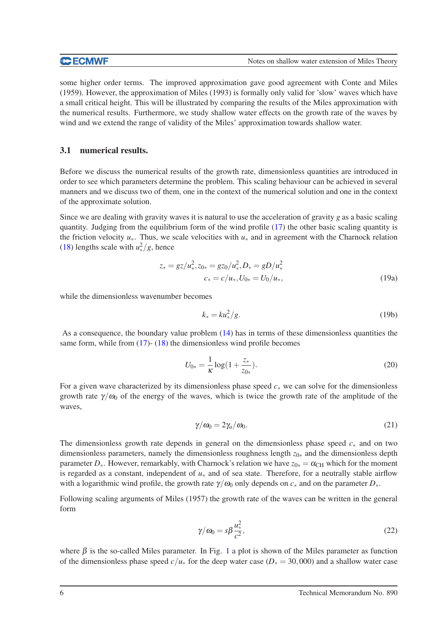some higher order terms. The improved approximation gave good agreement with Conte and Miles (1959). However, the approximation of Miles (1993) is formally only valid for 'slow' waves which have a small critical height. This will be illustrated by comparing the results of the Miles approximation with the numerical results. Furthermore, we study shallow water effects on the growth rate of the waves by wind and we extend the range of validity of the Miles' approximation towards shallow water.

### 3.1 numerical results.

Before we discuss the numerical results of the growth rate, dimensionless quantities are introduced in order to see which parameters determine the problem. This scaling behaviour can be achieved in several manners and we discuss two of them, one in the context of the numerical solution and one in the context of the approximate solution.

Since we are dealing with gravity waves it is natural to use the acceleration of gravity *g* as a basic scaling quantity. Judging from the equilibrium form of the wind profile [\(17\)](#page-6-2) the other basic scaling quantity is the friction velocity *u*∗. Thus, we scale velocities with *u*<sup>∗</sup> and in agreement with the Charnock relation [\(18\)](#page-6-3) lengths scale with  $u^2$ /*g*, hence

$$
z_* = gz/u_*^2, z_{0*} = gz_0/u_*^2, D_* = gD/u_*^2
$$
  

$$
c_* = c/u_*, U_{0*} = U_0/u_*,
$$
 (19a)

while the dimensionless wavenumber becomes

$$
k_* = ku_*^2/g.
$$
\n<sup>(19b)</sup>

As a consequence, the boundary value problem [\(14\)](#page-5-1) has in terms of these dimensionless quantities the same form, while from [\(17\)](#page-6-2)- [\(18\)](#page-6-3) the dimensionless wind profile becomes

$$
U_{0*} = \frac{1}{\kappa} \log(1 + \frac{z_*}{z_{0*}}). \tag{20}
$$

For a given wave characterized by its dimensionless phase speed *c*<sup>∗</sup> we can solve for the dimensionless growth rate  $\gamma/\omega_0$  of the energy of the waves, which is twice the growth rate of the amplitude of the waves,

<span id="page-7-0"></span>
$$
\gamma/\omega_0 = 2\gamma_a/\omega_0. \tag{21}
$$

The dimensionless growth rate depends in general on the dimensionless phase speed *c*<sup>∗</sup> and on two dimensionless parameters, namely the dimensionless roughness length *z*0<sup>∗</sup> and the dimensionless depth parameter  $D_{*}$ . However, remarkably, with Charnock's relation we have  $z_{0*} = \alpha_{CH}$  which for the moment is regarded as a constant, independent of *u*<sup>∗</sup> and of sea state. Therefore, for a neutrally stable airflow with a logarithmic wind profile, the growth rate  $\gamma/\omega_0$  only depends on  $c_*$  and on the parameter  $D_*$ .

Following scaling arguments of Miles (1957) the growth rate of the waves can be written in the general form

$$
\gamma/\omega_0 = s\beta \frac{u_*^2}{c^2},\tag{22}
$$

where  $\beta$  is the so-called Miles parameter. In Fig. [1](#page-8-0) a plot is shown of the Miles parameter as function of the dimensionless phase speed  $c/u_*$  for the deep water case ( $D_* = 30,000$ ) and a shallow water case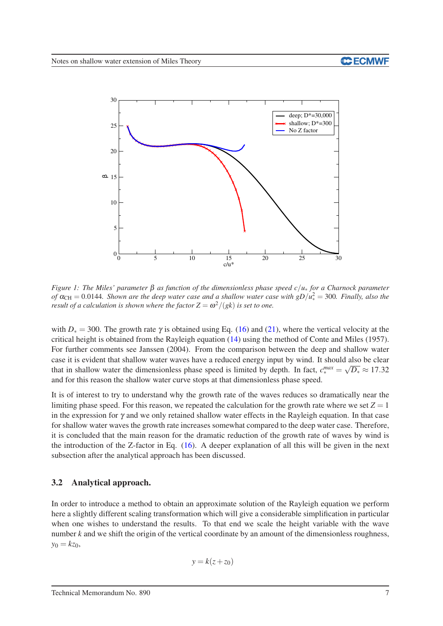

<span id="page-8-0"></span>*Figure 1: The Miles' parameter* β *as function of the dimensionless phase speed c*/*u*<sup>∗</sup> *for a Charnock parameter* of  $\alpha_{\text{CH}} = 0.0144$ . Shown are the deep water case and a shallow water case with  $gD/u_*^2 = 300$ . Finally, also the *result of a calculation is shown where the factor*  $Z = \omega^2/(gk)$  *is set to one.* 

with  $D<sub>∗</sub> = 300$ . The growth rate  $\gamma$  is obtained using Eq. [\(16\)](#page-6-0) and [\(21\)](#page-7-0), where the vertical velocity at the critical height is obtained from the Rayleigh equation [\(14\)](#page-5-1) using the method of Conte and Miles (1957). For further comments see Janssen (2004). From the comparison between the deep and shallow water case it is evident that shallow water waves have a reduced energy input by wind. It should also be clear that in shallow water the dimensionless phase speed is limited by depth. In fact,  $c_*^{max} = \sqrt{D_*} \approx 17.32$ and for this reason the shallow water curve stops at that dimensionless phase speed.

It is of interest to try to understand why the growth rate of the waves reduces so dramatically near the limiting phase speed. For this reason, we repeated the calculation for the growth rate where we set  $Z = 1$ in the expression for  $\gamma$  and we only retained shallow water effects in the Rayleigh equation. In that case for shallow water waves the growth rate increases somewhat compared to the deep water case. Therefore, it is concluded that the main reason for the dramatic reduction of the growth rate of waves by wind is the introduction of the Z-factor in Eq. [\(16\)](#page-6-0). A deeper explanation of all this will be given in the next subsection after the analytical approach has been discussed.

# 3.2 Analytical approach.

In order to introduce a method to obtain an approximate solution of the Rayleigh equation we perform here a slightly different scaling transformation which will give a considerable simplification in particular when one wishes to understand the results. To that end we scale the height variable with the wave number *k* and we shift the origin of the vertical coordinate by an amount of the dimensionless roughness,  $y_0 = kz_0$ ,

$$
y = k(z + z_0)
$$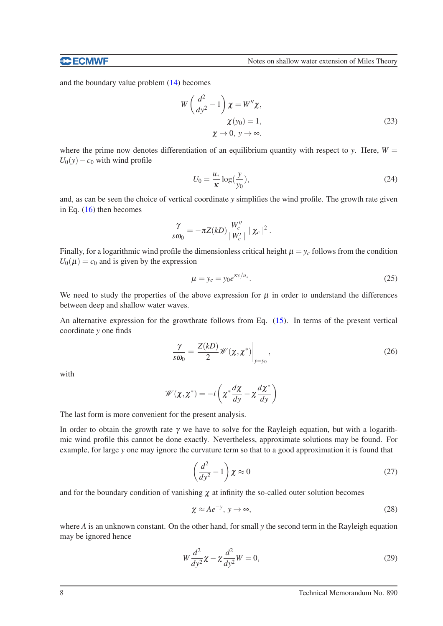#### **CCECMWF**

and the boundary value problem [\(14\)](#page-5-1) becomes

<span id="page-9-3"></span>
$$
W\left(\frac{d^2}{dy^2} - 1\right)\chi = W''\chi,
$$
  
\n
$$
\chi(y_0) = 1,
$$
  
\n
$$
\chi \to 0, \ y \to \infty.
$$
\n(23)

where the prime now denotes differentiation of an equilibrium quantity with respect to *y*. Here,  $W =$  $U_0(y) - c_0$  with wind profile

<span id="page-9-4"></span>
$$
U_0 = \frac{u_*}{\kappa} \log(\frac{y}{y_0}),\tag{24}
$$

and, as can be seen the choice of vertical coordinate *y* simplifies the wind profile. The growth rate given in Eq. [\(16\)](#page-6-0) then becomes

$$
\frac{\gamma}{s\omega_0} = -\pi Z(kD) \frac{W_c''}{|W_c'|} | \chi_c |^2.
$$

Finally, for a logarithmic wind profile the dimensionless critical height  $\mu = y_c$  follows from the condition  $U_0(\mu) = c_0$  and is given by the expression

<span id="page-9-2"></span>
$$
\mu = y_c = y_0 e^{\kappa c/u_*}.\tag{25}
$$

We need to study the properties of the above expression for  $\mu$  in order to understand the differences between deep and shallow water waves.

An alternative expression for the growthrate follows from Eq. [\(15\)](#page-6-4). In terms of the present vertical coordinate *y* one finds

<span id="page-9-1"></span>
$$
\frac{\gamma}{s\omega_0} = \frac{Z(kD)}{2} \mathscr{W}(\chi, \chi^*) \bigg|_{y=y_0},\tag{26}
$$

with

$$
\mathscr{W}(\chi,\chi^*) = -i\left(\chi^*\frac{d\chi}{dy} - \chi\frac{d\chi^*}{dy}\right)
$$

The last form is more convenient for the present analysis.

In order to obtain the growth rate  $\gamma$  we have to solve for the Rayleigh equation, but with a logarithmic wind profile this cannot be done exactly. Nevertheless, approximate solutions may be found. For example, for large *y* one may ignore the curvature term so that to a good approximation it is found that

$$
\left(\frac{d^2}{dy^2} - 1\right)\chi \approx 0\tag{27}
$$

and for the boundary condition of vanishing  $\chi$  at infinity the so-called outer solution becomes

<span id="page-9-0"></span>
$$
\chi \approx A e^{-y}, \, y \to \infty,\tag{28}
$$

where *A* is an unknown constant. On the other hand, for small *y* the second term in the Rayleigh equation may be ignored hence

$$
W\frac{d^2}{dy^2}\chi - \chi \frac{d^2}{dy^2}W = 0,
$$
\n(29)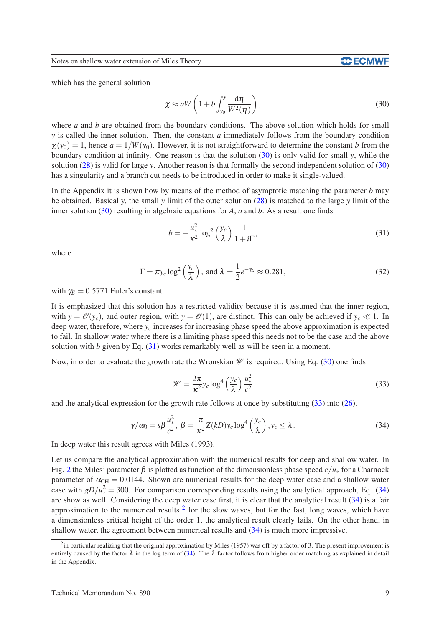Notes on shallow water extension of Miles Theory

which has the general solution

<span id="page-10-0"></span>
$$
\chi \approx aW \left( 1 + b \int_{y_0}^{y} \frac{d\eta}{W^2(\eta)} \right),\tag{30}
$$

where *a* and *b* are obtained from the boundary conditions. The above solution which holds for small *y* is called the inner solution. Then, the constant *a* immediately follows from the boundary condition  $\chi(y_0) = 1$ , hence  $a = 1/W(y_0)$ . However, it is not straightforward to determine the constant *b* from the boundary condition at infinity. One reason is that the solution [\(30\)](#page-10-0) is only valid for small *y*, while the solution [\(28\)](#page-9-0) is valid for large *y*. Another reason is that formally the second independent solution of [\(30\)](#page-10-0) has a singularity and a branch cut needs to be introduced in order to make it single-valued.

In the Appendix it is shown how by means of the method of asymptotic matching the parameter *b* may be obtained. Basically, the small *y* limit of the outer solution [\(28\)](#page-9-0) is matched to the large *y* limit of the inner solution [\(30\)](#page-10-0) resulting in algebraic equations for *A*, *a* and *b*. As a result one finds

<span id="page-10-1"></span>
$$
b = -\frac{u_*^2}{\kappa^2} \log^2 \left(\frac{y_c}{\lambda}\right) \frac{1}{1+i\Gamma},\tag{31}
$$

where

$$
\Gamma = \pi y_c \log^2 \left( \frac{y_c}{\lambda} \right), \text{ and } \lambda = \frac{1}{2} e^{-\gamma_E} \approx 0.281,
$$
\n(32)

with  $\gamma_E = 0.5771$  Euler's constant.

It is emphasized that this solution has a restricted validity because it is assumed that the inner region, with  $y = \mathcal{O}(y_c)$ , and outer region, with  $y = \mathcal{O}(1)$ , are distinct. This can only be achieved if  $y_c \ll 1$ . In deep water, therefore, where  $y_c$  increases for increasing phase speed the above approximation is expected to fail. In shallow water where there is a limiting phase speed this needs not to be the case and the above solution with *b* given by Eq.  $(31)$  works remarkably well as will be seen in a moment.

Now, in order to evaluate the growth rate the Wronskian  $\mathcal W$  is required. Using Eq. [\(30\)](#page-10-0) one finds

<span id="page-10-2"></span>
$$
\mathcal{W} = \frac{2\pi}{\kappa^2} y_c \log^4 \left(\frac{y_c}{\lambda}\right) \frac{u_*^2}{c^2}
$$
 (33)

and the analytical expression for the growth rate follows at once by substituting  $(33)$  into  $(26)$ ,

<span id="page-10-3"></span>
$$
\gamma/\omega_0 = s\beta \frac{u_*^2}{c^2}, \ \beta = \frac{\pi}{\kappa^2} Z(kD) y_c \log^4\left(\frac{y_c}{\lambda}\right), y_c \le \lambda. \tag{34}
$$

In deep water this result agrees with Miles (1993).

Let us compare the analytical approximation with the numerical results for deep and shallow water. In Fig. [2](#page-11-0) the Miles' parameter  $\beta$  is plotted as function of the dimensionless phase speed  $c/u_*$  for a Charnock parameter of  $\alpha_{\text{CH}} = 0.0144$ . Shown are numerical results for the deep water case and a shallow water case with  $gD/u_*^2 = 300$ . For comparison corresponding results using the analytical approach, Eq. [\(34\)](#page-10-3) are show as well. Considering the deep water case first, it is clear that the analytical result [\(34\)](#page-10-3) is a fair approximation to the numerical results  $2$  for the slow waves, but for the fast, long waves, which have a dimensionless critical height of the order 1, the analytical result clearly fails. On the other hand, in shallow water, the agreement between numerical results and [\(34\)](#page-10-3) is much more impressive.

<span id="page-10-4"></span> $2$ in particular realizing that the original approximation by Miles (1957) was off by a factor of 3. The present improvement is entirely caused by the factor  $\lambda$  in the log term of [\(34\)](#page-10-3). The  $\lambda$  factor follows from higher order matching as explained in detail in the Appendix.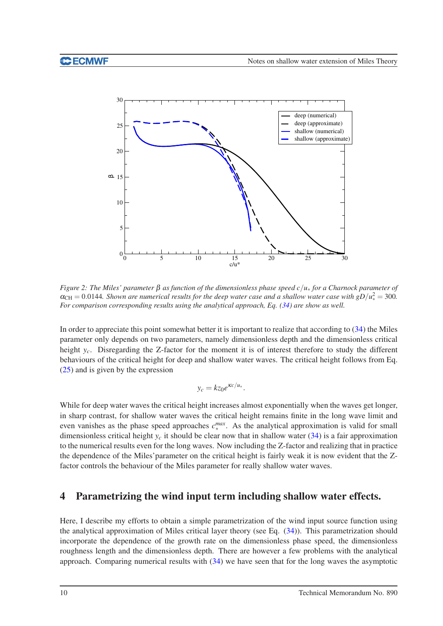

<span id="page-11-0"></span>*Figure 2: The Miles' parameter* β *as function of the dimensionless phase speed c*/*u*<sup>∗</sup> *for a Charnock parameter of*  $\alpha_{\text{CH}} = 0.0144$ . Shown are numerical results for the deep water case and a shallow water case with  $gD/u_*^2 = 300$ . *For comparison corresponding results using the analytical approach, Eq. [\(34\)](#page-10-3) are show as well.*

In order to appreciate this point somewhat better it is important to realize that according to [\(34\)](#page-10-3) the Miles parameter only depends on two parameters, namely dimensionless depth and the dimensionless critical height *y<sub>c</sub>*. Disregarding the Z-factor for the moment it is of interest therefore to study the different behaviours of the critical height for deep and shallow water waves. The critical height follows from Eq. [\(25\)](#page-9-2) and is given by the expression

$$
y_c = k z_0 e^{\kappa c/u_*}.
$$

While for deep water waves the critical height increases almost exponentially when the waves get longer, in sharp contrast, for shallow water waves the critical height remains finite in the long wave limit and even vanishes as the phase speed approaches *c max* max. As the analytical approximation is valid for small dimensionless critical height  $y_c$  it should be clear now that in shallow water [\(34\)](#page-10-3) is a fair approximation to the numerical results even for the long waves. Now including the Z-factor and realizing that in practice the dependence of the Miles'parameter on the critical height is fairly weak it is now evident that the Zfactor controls the behaviour of the Miles parameter for really shallow water waves.

# 4 Parametrizing the wind input term including shallow water effects.

Here, I describe my efforts to obtain a simple parametrization of the wind input source function using the analytical approximation of Miles critical layer theory (see Eq. [\(34\)](#page-10-3)). This parametrization should incorporate the dependence of the growth rate on the dimensionless phase speed, the dimensionless roughness length and the dimensionless depth. There are however a few problems with the analytical approach. Comparing numerical results with [\(34\)](#page-10-3) we have seen that for the long waves the asymptotic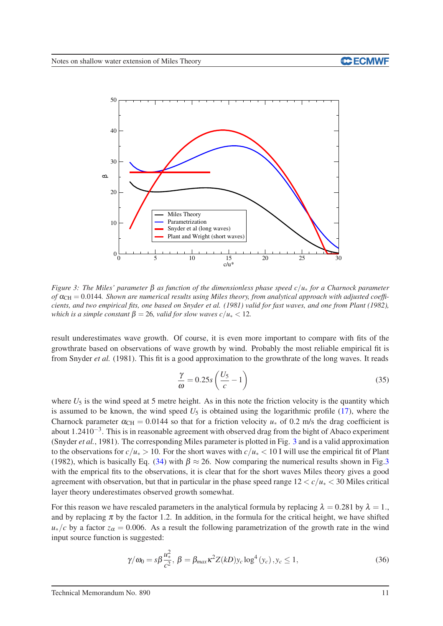

<span id="page-12-0"></span>*Figure 3: The Miles' parameter* β *as function of the dimensionless phase speed c*/*u*<sup>∗</sup> *for a Charnock parameter of*  $\alpha_{\text{CH}} = 0.0144$ . Shown are numerical results using Miles theory, from analytical approach with adjusted coeffi*cients, and two empirical fits, one based on Snyder et al. (1981) valid for fast waves, and one from Plant (1982), which is a simple constant*  $\beta = 26$ *, valid for slow waves c*/ $u_* < 12$ *.* 

result underestimates wave growth. Of course, it is even more important to compare with fits of the growthrate based on observations of wave growth by wind. Probably the most reliable empirical fit is from Snyder *et al.* (1981). This fit is a good approximation to the growthrate of the long waves. It reads

$$
\frac{\gamma}{\omega} = 0.25s \left( \frac{U_5}{c} - 1 \right) \tag{35}
$$

where  $U_5$  is the wind speed at 5 metre height. As in this note the friction velocity is the quantity which is assumed to be known, the wind speed  $U_5$  is obtained using the logarithmic profile [\(17\)](#page-6-2), where the Charnock parameter  $\alpha_{CH} = 0.0144$  so that for a friction velocity  $u_*$  of 0.2 m/s the drag coefficient is about 1.2410<sup>-3</sup>. This is in reasonable agreement with observed drag from the bight of Abaco experiment (Snyder *et al.*, 1981). The corresponding Miles parameter is plotted in Fig. [3](#page-12-0) and is a valid approximation to the observations for  $c/u_* > 10$ . For the short waves with  $c/u_* < 10$  I will use the empirical fit of Plant (1982), which is basically Eq. [\(34\)](#page-10-3) with  $\beta \approx 26$ . Now comparing the numerical results shown in Fig[.3](#page-12-0) with the emprical fits to the observations, it is clear that for the short waves Miles theory gives a good agreement with observation, but that in particular in the phase speed range  $12 < c/u_* < 30$  Miles critical layer theory underestimates observed growth somewhat.

For this reason we have rescaled parameters in the analytical formula by replacing  $\lambda = 0.281$  by  $\lambda = 1$ . and by replacing  $\pi$  by the factor 1.2. In addition, in the formula for the critical height, we have shifted  $u_*/c$  by a factor  $z_\alpha = 0.006$ . As a result the following parametrization of the growth rate in the wind input source function is suggested:

<span id="page-12-1"></span>
$$
\gamma/\omega_0 = s\beta \frac{u_*^2}{c^2}, \ \beta = \beta_{max}\kappa^2 Z(kD)y_c \log^4(y_c), y_c \le 1,\tag{36}
$$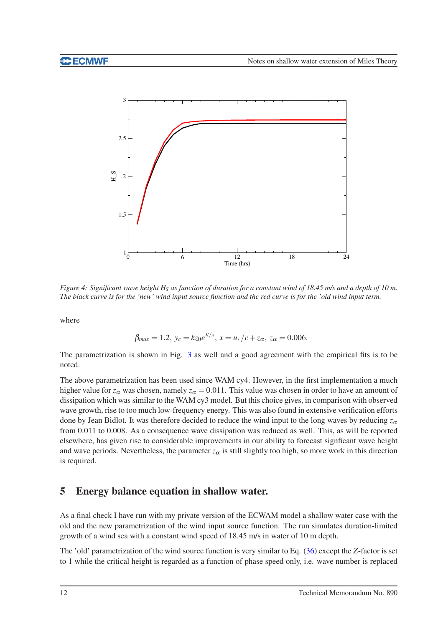

<span id="page-13-0"></span>*Figure 4: Significant wave height H<sup>S</sup> as function of duration for a constant wind of 18.45 m/s and a depth of 10 m. The black curve is for the 'new' wind input source function and the red curve is for the 'old wind input term.*

where

$$
\beta_{max} = 1.2, y_c = kz_0 e^{\kappa/x}, x = u_*/c + z_\alpha, z_\alpha = 0.006.
$$

The parametrization is shown in Fig. [3](#page-12-0) as well and a good agreement with the empirical fits is to be noted.

The above parametrization has been used since WAM cy4. However, in the first implementation a much higher value for  $z_\alpha$  was chosen, namely  $z_\alpha = 0.011$ . This value was chosen in order to have an amount of dissipation which was similar to the WAM cy3 model. But this choice gives, in comparison with observed wave growth, rise to too much low-frequency energy. This was also found in extensive verification efforts done by Jean Bidlot. It was therefore decided to reduce the wind input to the long waves by reducing  $z_{\alpha}$ from 0.011 to 0.008. As a consequence wave dissipation was reduced as well. This, as will be reported elsewhere, has given rise to considerable improvements in our ability to forecast signficant wave height and wave periods. Nevertheless, the parameter  $z_\alpha$  is still slightly too high, so more work in this direction is required.

# 5 Energy balance equation in shallow water.

As a final check I have run with my private version of the ECWAM model a shallow water case with the old and the new parametrization of the wind input source function. The run simulates duration-limited growth of a wind sea with a constant wind speed of 18.45 m/s in water of 10 m depth.

The 'old' parametrization of the wind source function is very similar to Eq. [\(36\)](#page-12-1) except the *Z*-factor is set to 1 while the critical height is regarded as a function of phase speed only, i.e. wave number is replaced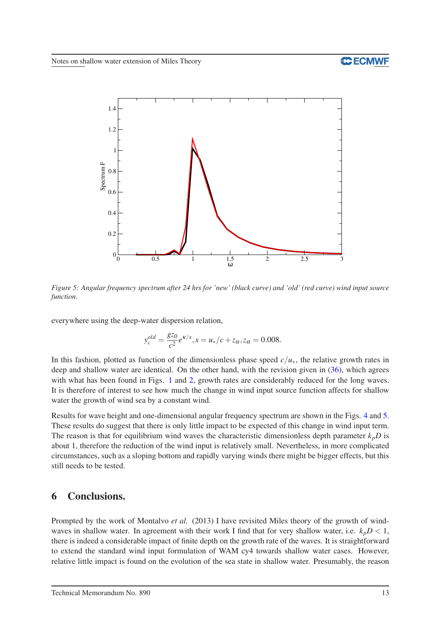# **C ECMWF**



<span id="page-14-0"></span>*Figure 5: Angular frequency spectrum after 24 hrs for 'new' (black curve) and 'old' (red curve) wind input source function.*

everywhere using the deep-water dispersion relation,

$$
y_c^{old} = \frac{g_{z0}}{c^2} e^{\kappa/x}, x = u_*/c + z_{\alpha}, z_{\alpha} = 0.008.
$$

In this fashion, plotted as function of the dimensionless phase speed  $c/u_*$ , the relative growth rates in deep and shallow water are identical. On the other hand, with the revision given in [\(36\)](#page-12-1), which agrees with what has been found in Figs. [1](#page-8-0) and [2,](#page-11-0) growth rates are considerably reduced for the long waves. It is therefore of interest to see how much the change in wind input source function affects for shallow water the growth of wind sea by a constant wind.

Results for wave height and one-dimensional angular frequency spectrum are shown in the Figs. [4](#page-13-0) and [5.](#page-14-0) These results do suggest that there is only little impact to be expected of this change in wind input term. The reason is that for equilibrium wind waves the characteristic dimensionless depth parameter  $k_pD$  is about 1, therefore the reduction of the wind input is relatively small. Nevertheless, in more complicated circumstances, such as a sloping bottom and rapidly varying winds there might be bigger effects, but this still needs to be tested.

# 6 Conclusions.

Prompted by the work of Montalvo *et al.* (2013) I have revisited Miles theory of the growth of windwaves in shallow water. In agreement with their work I find that for very shallow water, i.e.  $k_p D < 1$ , there is indeed a considerable impact of finite depth on the growth rate of the waves. It is straightforward to extend the standard wind input formulation of WAM cy4 towards shallow water cases. However, relative little impact is found on the evolution of the sea state in shallow water. Presumably, the reason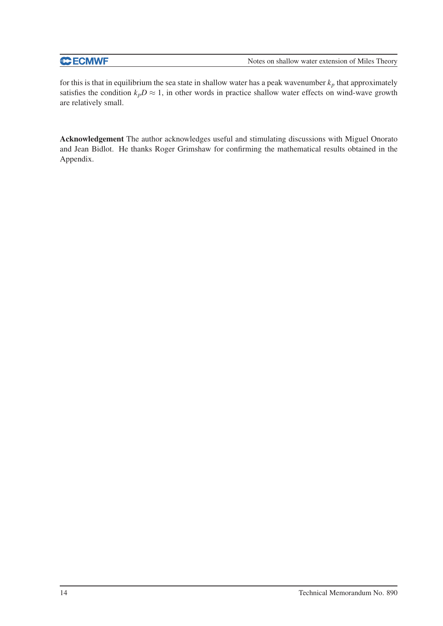# **C**ECMWF

for this is that in equilibrium the sea state in shallow water has a peak wavenumber  $k_p$  that approximately satisfies the condition  $k_p D \approx 1$ , in other words in practice shallow water effects on wind-wave growth are relatively small.

Acknowledgement The author acknowledges useful and stimulating discussions with Miguel Onorato and Jean Bidlot. He thanks Roger Grimshaw for confirming the mathematical results obtained in the Appendix.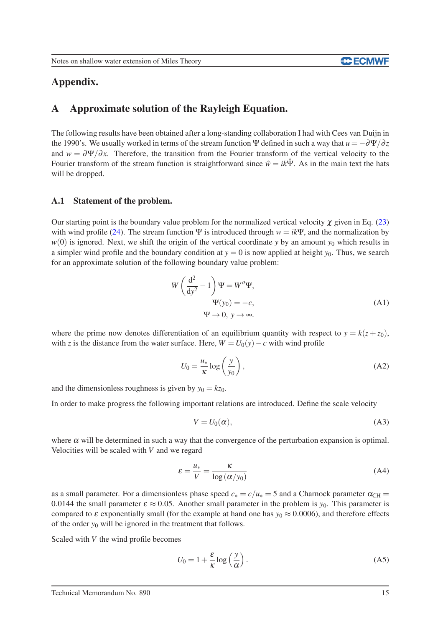#### **CCECMWF**

# Appendix.

# A Approximate solution of the Rayleigh Equation.

The following results have been obtained after a long-standing collaboration I had with Cees van Duijn in the 1990's. We usually worked in terms of the stream function  $\Psi$  defined in such a way that  $u = -\frac{\partial \Psi}{\partial z}$ and  $w = \frac{\partial \Psi}{\partial x}$ . Therefore, the transition from the Fourier transform of the vertical velocity to the Fourier transform of the stream function is straightforward since  $\hat{w} = ik\hat{\Psi}$ . As in the main text the hats will be dropped.

#### A.1 Statement of the problem.

Our starting point is the boundary value problem for the normalized vertical velocity  $\chi$  given in Eq. [\(23\)](#page-9-3) with wind profile [\(24\)](#page-9-4). The stream function  $\Psi$  is introduced through  $w = i \kappa \Psi$ , and the normalization by  $w(0)$  is ignored. Next, we shift the origin of the vertical coordinate *y* by an amount  $y_0$  which results in a simpler wind profile and the boundary condition at  $y = 0$  is now applied at height  $y_0$ . Thus, we search for an approximate solution of the following boundary value problem:

<span id="page-16-0"></span>
$$
W\left(\frac{d^2}{dy^2} - 1\right) \Psi = W''\Psi,
$$
  
\n
$$
\Psi(y_0) = -c,
$$
  
\n
$$
\Psi \to 0, y \to \infty.
$$
 (A1)

where the prime now denotes differentiation of an equilibrium quantity with respect to  $y = k(z + z_0)$ , with *z* is the distance from the water surface. Here,  $W = U_0(y) - c$  with wind profile

$$
U_0 = \frac{u_*}{\kappa} \log \left( \frac{y}{y_0} \right),\tag{A2}
$$

and the dimensionless roughness is given by  $y_0 = kz_0$ .

In order to make progress the following important relations are introduced. Define the scale velocity

<span id="page-16-1"></span>
$$
V = U_0(\alpha), \tag{A3}
$$

where  $\alpha$  will be determined in such a way that the convergence of the perturbation expansion is optimal. Velocities will be scaled with *V* and we regard

$$
\varepsilon = \frac{u_*}{V} = \frac{\kappa}{\log\left(\frac{\alpha}{y_0}\right)}\tag{A4}
$$

as a small parameter. For a dimensionless phase speed  $c_* = c/u_* = 5$  and a Charnock parameter  $\alpha_{CH} =$ 0.0144 the small parameter  $\varepsilon \approx 0.05$ . Another small parameter in the problem is  $y_0$ . This parameter is compared to  $\varepsilon$  exponentially small (for the example at hand one has  $y_0 \approx 0.0006$ ), and therefore effects of the order *y*<sup>0</sup> will be ignored in the treatment that follows.

Scaled with *V* the wind profile becomes

$$
U_0 = 1 + \frac{\varepsilon}{\kappa} \log \left( \frac{y}{\alpha} \right). \tag{A5}
$$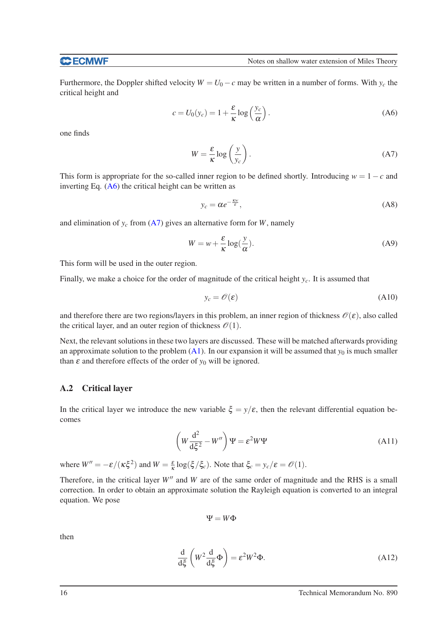#### **C**ECMWF

Furthermore, the Doppler shifted velocity  $W = U_0 - c$  may be written in a number of forms. With  $y_c$  the critical height and

<span id="page-17-0"></span>
$$
c = U_0(y_c) = 1 + \frac{\varepsilon}{\kappa} \log \left( \frac{y_c}{\alpha} \right). \tag{A6}
$$

one finds

<span id="page-17-1"></span>
$$
W = \frac{\varepsilon}{\kappa} \log \left( \frac{y}{y_c} \right). \tag{A7}
$$

This form is appropriate for the so-called inner region to be defined shortly. Introducing  $w = 1 - c$  and inverting Eq.  $(A6)$  the critical height can be written as

$$
y_c = \alpha e^{-\frac{Kw}{\varepsilon}},\tag{A8}
$$

and elimination of  $y_c$  from ( $\overline{A7}$ ) gives an alternative form for *W*, namely

$$
W = w + \frac{\varepsilon}{\kappa} \log(\frac{y}{\alpha}).
$$
 (A9)

This form will be used in the outer region.

Finally, we make a choice for the order of magnitude of the critical height  $y_c$ . It is assumed that

$$
y_c = \mathcal{O}(\varepsilon) \tag{A10}
$$

and therefore there are two regions/layers in this problem, an inner region of thickness  $\mathcal{O}(\varepsilon)$ , also called the critical layer, and an outer region of thickness  $\mathcal{O}(1)$ .

Next, the relevant solutions in these two layers are discussed. These will be matched afterwards providing an approximate solution to the problem  $(A1)$ . In our expansion it will be assumed that  $y_0$  is much smaller than  $\varepsilon$  and therefore effects of the order of  $y_0$  will be ignored.

#### A.2 Critical layer

In the critical layer we introduce the new variable  $\xi = y/\varepsilon$ , then the relevant differential equation becomes

$$
\left(W\frac{\mathrm{d}^2}{\mathrm{d}\xi^2} - W''\right)\Psi = \varepsilon^2 W\Psi\tag{A11}
$$

where  $W'' = -\varepsilon/(\kappa \xi^2)$  and  $W = \frac{\varepsilon}{\kappa} \log(\xi/\xi_c)$ . Note that  $\xi_c = y_c/\varepsilon = \mathcal{O}(1)$ .

Therefore, in the critical layer *W''* and *W* are of the same order of magnitude and the RHS is a small correction. In order to obtain an approximate solution the Rayleigh equation is converted to an integral equation. We pose

$$
\Psi = W \Phi
$$

then

$$
\frac{\mathrm{d}}{\mathrm{d}\xi} \left( W^2 \frac{\mathrm{d}}{\mathrm{d}\xi} \Phi \right) = \varepsilon^2 W^2 \Phi. \tag{A12}
$$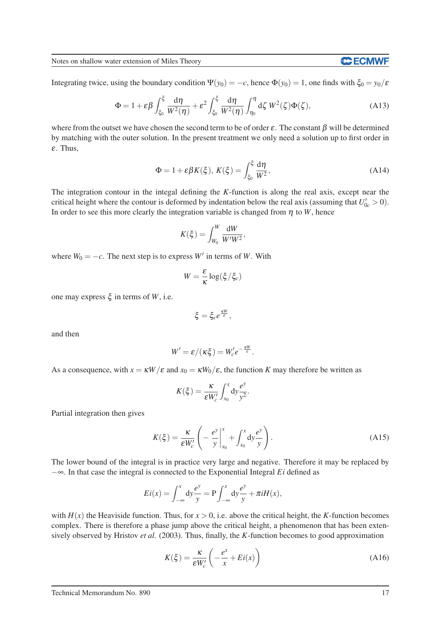Notes on shallow water extension of Miles Theory

**CCECMWF** 

Integrating twice, using the boundary condition  $\Psi(y_0) = -c$ , hence  $\Phi(y_0) = 1$ , one finds with  $\xi_0 = y_0/\varepsilon$ 

$$
\Phi = 1 + \varepsilon \beta \int_{\xi_0}^{\xi} \frac{d\eta}{W^2(\eta)} + \varepsilon^2 \int_{\xi_0}^{\xi} \frac{d\eta}{W^2(\eta)} \int_{\eta_0}^{\eta} d\zeta W^2(\zeta) \Phi(\zeta), \tag{A13}
$$

where from the outset we have chosen the second term to be of order  $\varepsilon$ . The constant  $\beta$  will be determined by matching with the outer solution. In the present treatment we only need a solution up to first order in <sup>ε</sup>. Thus,

<span id="page-18-0"></span>
$$
\Phi = 1 + \varepsilon \beta K(\xi), \ K(\xi) = \int_{\xi_0}^{\xi} \frac{d\eta}{W^2}, \tag{A14}
$$

The integration contour in the integal defining the *K*-function is along the real axis, except near the critical height where the contour is deformed by indentation below the real axis (assuming that  $U'_{0c} > 0$ ). In order to see this more clearly the integration variable is changed from  $\eta$  to *W*, hence

$$
K(\xi) = \int_{W_0}^W \frac{\mathrm{d}W}{W'W^2},
$$

where  $W_0 = -c$ . The next step is to express  $W'$  in terms of  $W$ . With

$$
W = \frac{\varepsilon}{\kappa} \log(\xi/\xi_c)
$$

one may express ξ in terms of *W*, i.e.

$$
\xi = \xi_c e^{\frac{\kappa W}{\varepsilon}},
$$

and then

$$
W' = \varepsilon / (\kappa \xi) = W'_c e^{-\frac{\kappa W}{\varepsilon}}.
$$

As a consequence, with  $x = \kappa W / \varepsilon$  and  $x_0 = \kappa W_0 / \varepsilon$ , the function *K* may therefore be written as

$$
K(\xi) = \frac{\kappa}{\varepsilon W_c'} \int_{x_0}^x dy \frac{e^y}{y^2}.
$$

Partial integration then gives

$$
K(\xi) = \frac{\kappa}{\varepsilon W_c'} \left( -\frac{e^y}{y} \Big|_{x_0}^x + \int_{x_0}^x dy \frac{e^y}{y} \right). \tag{A15}
$$

The lower bound of the integral is in practice very large and negative. Therefore it may be replaced by −∞. In that case the integral is connected to the Exponential Integral *Ei* defined as

$$
Ei(x) = \int_{-\infty}^{x} dy \frac{e^{y}}{y} = P \int_{-\infty}^{x} dy \frac{e^{y}}{y} + \pi i H(x),
$$

with  $H(x)$  the Heaviside function. Thus, for  $x > 0$ , i.e. above the critical height, the *K*-function becomes complex. There is therefore a phase jump above the critical height, a phenomenon that has been extensively observed by Hristov *et al.* (2003). Thus, finally, the *K*-function becomes to good approximation

$$
K(\xi) = \frac{\kappa}{\varepsilon W_c'} \left( -\frac{e^x}{x} + Ei(x) \right) \tag{A16}
$$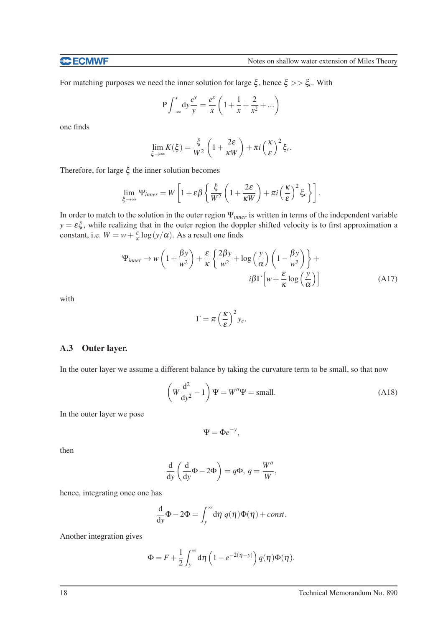For matching purposes we need the inner solution for large  $\xi$ , hence  $\xi \gg \xi_c$ . With

$$
P \int_{-\infty}^{x} dy \frac{e^{y}}{y} = \frac{e^{x}}{x} \left( 1 + \frac{1}{x} + \frac{2}{x^{2}} + \dots \right)
$$

one finds

$$
\lim_{\xi \to \infty} K(\xi) = \frac{\xi}{W^2} \left( 1 + \frac{2\varepsilon}{\kappa W} \right) + \pi i \left( \frac{\kappa}{\varepsilon} \right)^2 \xi_c.
$$

Therefore, for large ξ the inner solution becomes

$$
\lim_{\xi \to \infty} \Psi_{inner} = W \left[ 1 + \varepsilon \beta \left\{ \frac{\xi}{W^2} \left( 1 + \frac{2\varepsilon}{\kappa W} \right) + \pi i \left( \frac{\kappa}{\varepsilon} \right)^2 \xi_c \right\} \right].
$$

In order to match to the solution in the outer region Ψ*inner* is written in terms of the independent variable  $y = \varepsilon \xi$ , while realizing that in the outer region the doppler shifted velocity is to first approximation a constant, i.e.  $W = w + \frac{\varepsilon}{\kappa} \log(y/\alpha)$ . As a result one finds

<span id="page-19-0"></span>
$$
\Psi_{inner} \to w \left( 1 + \frac{\beta y}{w^2} \right) + \frac{\varepsilon}{\kappa} \left\{ \frac{2\beta y}{w^2} + \log \left( \frac{y}{\alpha} \right) \left( 1 - \frac{\beta y}{w^2} \right) \right\} + i\beta \Gamma \left[ w + \frac{\varepsilon}{\kappa} \log \left( \frac{y}{\alpha} \right) \right]
$$
(A17)

with

$$
\Gamma = \pi \left(\frac{\kappa}{\varepsilon}\right)^2 y_c.
$$

#### A.3 Outer layer.

In the outer layer we assume a different balance by taking the curvature term to be small, so that now

$$
\left(W\frac{d^2}{dy^2} - 1\right)\Psi = W''\Psi = \text{small.}
$$
\n(A18)

In the outer layer we pose

$$
\Psi = \Phi e^{-y},
$$

then

$$
\frac{\mathrm{d}}{\mathrm{d}y} \left( \frac{\mathrm{d}}{\mathrm{d}y} \Phi - 2\Phi \right) = q\Phi, \, q = \frac{W''}{W},
$$

hence, integrating once one has

$$
\frac{\mathrm{d}}{\mathrm{d}y}\Phi - 2\Phi = \int_{y}^{\infty} \mathrm{d}\eta \, q(\eta)\Phi(\eta) + const.
$$

Another integration gives

$$
\Phi = F + \frac{1}{2} \int_{y}^{\infty} d\eta \left( 1 - e^{-2(\eta - y)} \right) q(\eta) \Phi(\eta).
$$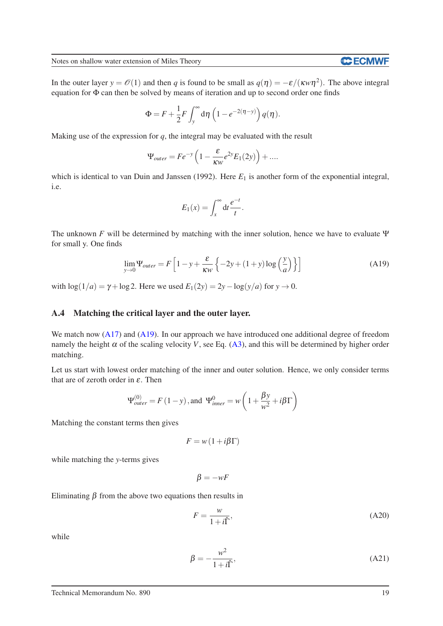**CCECMWF** 

In the outer layer  $y = \mathcal{O}(1)$  and then *q* is found to be small as  $q(\eta) = -\varepsilon/(\kappa w \eta^2)$ . The above integral equation for Φ can then be solved by means of iteration and up to second order one finds

$$
\Phi = F + \frac{1}{2}F \int_{y}^{\infty} d\eta \left(1 - e^{-2(\eta - y)}\right) q(\eta).
$$

Making use of the expression for *q*, the integral may be evaluated with the result

$$
\Psi_{outer} = Fe^{-y} \left( 1 - \frac{\varepsilon}{\kappa w} e^{2y} E_1(2y) \right) + \dots
$$

which is identical to van Duin and Janssen (1992). Here  $E_1$  is another form of the exponential integral, i.e.

$$
E_1(x) = \int_x^{\infty} dt \frac{e^{-t}}{t}.
$$

The unknown *F* will be determined by matching with the inner solution, hence we have to evaluate  $\Psi$ for small y. One finds

<span id="page-20-0"></span>
$$
\lim_{y \to 0} \Psi_{outer} = F \left[ 1 - y + \frac{\varepsilon}{\kappa w} \left\{ -2y + (1 + y) \log \left( \frac{y}{a} \right) \right\} \right]
$$
(A19)

with  $\log(1/a) = \gamma + \log 2$ . Here we used  $E_1(2y) = 2y - \log(y/a)$  for  $y \to 0$ .

#### A.4 Matching the critical layer and the outer layer.

We match now [\(A17\)](#page-19-0) and [\(A19\)](#page-20-0). In our approach we have introduced one additional degree of freedom namely the height  $\alpha$  of the scaling velocity *V*, see Eq. [\(A3\)](#page-16-1), and this will be determined by higher order matching.

Let us start with lowest order matching of the inner and outer solution. Hence, we only consider terms that are of zeroth order in  $\varepsilon$ . Then

$$
\Psi_{outer}^{(0)} = F(1-y)
$$
, and  $\Psi_{inner}^{0} = w\left(1 + \frac{\beta y}{w^2} + i\beta \Gamma\right)$ 

Matching the constant terms then gives

$$
F = w(1 + i\beta \Gamma)
$$

while matching the *y*-terms gives

$$
\beta = -wF
$$

Eliminating  $\beta$  from the above two equations then results in

$$
F = \frac{w}{1 + i\hat{\Gamma}},\tag{A20}
$$

while

$$
\beta = -\frac{w^2}{1+i\hat{\Gamma}},\tag{A21}
$$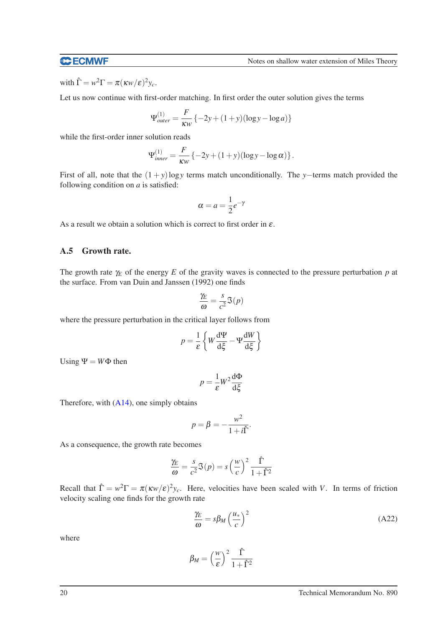#### **CCECMWF**

with  $\hat{\Gamma} = w^2 \Gamma = \pi (\kappa w / \varepsilon)^2 y_c$ .

Let us now continue with first-order matching. In first order the outer solution gives the terms

$$
\Psi_{outer}^{(1)} = \frac{F}{\kappa w} \{-2y + (1+y)(\log y - \log a)\}
$$

while the first-order inner solution reads

$$
\Psi_{inner}^{(1)} = \frac{F}{\kappa w} \left\{-2y + (1+y)(\log y - \log \alpha) \right\}.
$$

First of all, note that the (1 + *y*)log*y* terms match unconditionally. The *y*−terms match provided the following condition on *a* is satisfied:

$$
\alpha = a = \frac{1}{2}e^{-\gamma}
$$

As a result we obtain a solution which is correct to first order in  $\varepsilon$ .

#### A.5 Growth rate.

The growth rate  $\gamma_E$  of the energy *E* of the gravity waves is connected to the pressure perturbation *p* at the surface. From van Duin and Janssen (1992) one finds

$$
\frac{\gamma_E}{\omega} = \frac{s}{c^2} \Im(p)
$$

where the pressure perturbation in the critical layer follows from

$$
p = \frac{1}{\varepsilon} \left\{ W \frac{d\Psi}{d\xi} - \Psi \frac{dW}{d\xi} \right\}
$$

Using  $\Psi = W\Phi$  then

$$
p = \frac{1}{\varepsilon} W^2 \frac{d\Phi}{d\xi}
$$

Therefore, with  $(A14)$ , one simply obtains

$$
p = \beta = -\frac{w^2}{1 + i\hat{\Gamma}}.
$$

As a consequence, the growth rate becomes

$$
\frac{\gamma_E}{\omega} = \frac{s}{c^2} \Im(p) = s \left(\frac{w}{c}\right)^2 \frac{\hat{\Gamma}}{1 + \hat{\Gamma}^2}
$$

Recall that  $\hat{\Gamma} = w^2 \Gamma = \pi (\kappa w / \varepsilon)^2 y_c$ . Here, velocities have been scaled with *V*. In terms of friction velocity scaling one finds for the growth rate

$$
\frac{\gamma_E}{\omega} = s\beta_M \left(\frac{u_*}{c}\right)^2 \tag{A22}
$$

where

$$
\beta_M = \left(\frac{w}{\varepsilon}\right)^2 \frac{\hat{\Gamma}}{1 + \hat{\Gamma}^2}
$$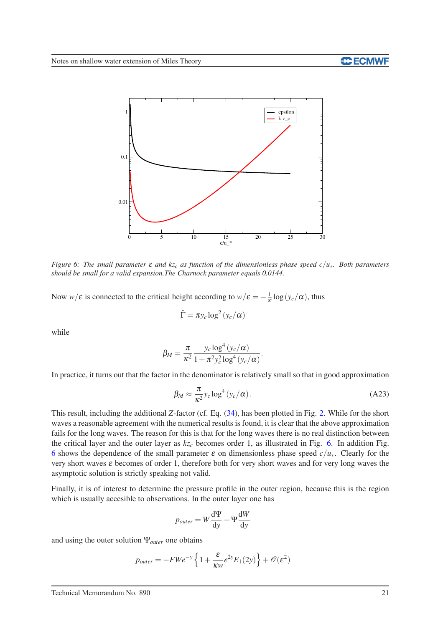

<span id="page-22-0"></span>*Figure 6: The small parameter* <sup>ε</sup> *and kz<sup>c</sup> as function of the dimensionless phase speed c*/*u*∗*. Both parameters should be small for a valid expansion.The Charnock parameter equals 0.0144.*

Now  $w/\varepsilon$  is connected to the critical height according to  $w/\varepsilon = -\frac{1}{\kappa} \log(y_c/\alpha)$ , thus

$$
\hat{\Gamma} = \pi y_c \log^2 (y_c/\alpha)
$$

while

$$
\beta_M = \frac{\pi}{\kappa^2} \frac{y_c \log^4(y_c/\alpha)}{1 + \pi^2 y_c^2 \log^4(y_c/\alpha)}.
$$

In practice, it turns out that the factor in the denominator is relatively small so that in good approximation

$$
\beta_M \approx \frac{\pi}{\kappa^2} y_c \log^4 (y_c/\alpha). \tag{A23}
$$

This result, including the additional *Z*-factor (cf. Eq. [\(34\)](#page-10-3), has been plotted in Fig. [2.](#page-11-0) While for the short waves a reasonable agreement with the numerical results is found, it is clear that the above approximation fails for the long waves. The reason for this is that for the long waves there is no real distinction between the critical layer and the outer layer as  $kz_c$  becomes order 1, as illustrated in Fig. [6.](#page-22-0) In addition Fig. [6](#page-22-0) shows the dependence of the small parameter  $\varepsilon$  on dimensionless phase speed  $c/u_*$ . Clearly for the very short waves  $\varepsilon$  becomes of order 1, therefore both for very short waves and for very long waves the asymptotic solution is strictly speaking not valid.

Finally, it is of interest to determine the pressure profile in the outer region, because this is the region which is usually accesible to observations. In the outer layer one has

$$
p_{outer} = W \frac{d\Psi}{dy} - \Psi \frac{dW}{dy}
$$

and using the outer solution Ψ*outer* one obtains

$$
p_{outer} = -FWe^{-y} \left\{ 1 + \frac{\varepsilon}{\kappa w} e^{2y} E_1(2y) \right\} + \mathcal{O}(\varepsilon^2)
$$